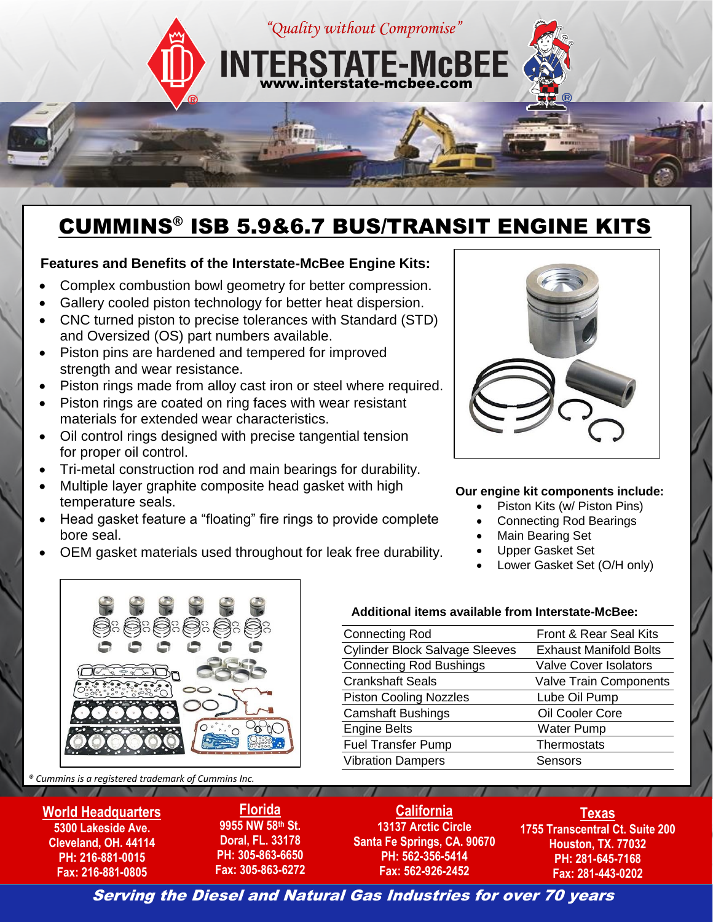

## CUMMINS® ISB 5.9&6.7 BUS/TRANSIT ENGINE KITS

## **Features and Benefits of the Interstate-McBee Engine Kits:**

- Complex combustion bowl geometry for better compression.
- Gallery cooled piston technology for better heat dispersion.
- CNC turned piston to precise tolerances with Standard (STD) and Oversized (OS) part numbers available.
- Piston pins are hardened and tempered for improved strength and wear resistance.
- Piston rings made from alloy cast iron or steel where required.
- Piston rings are coated on ring faces with wear resistant materials for extended wear characteristics.
- Oil control rings designed with precise tangential tension for proper oil control.
- Tri-metal construction rod and main bearings for durability.
- Multiple layer graphite composite head gasket with high temperature seals.
- Head gasket feature a "floating" fire rings to provide complete bore seal.
- OEM gasket materials used throughout for leak free durability.



## **Our engine kit components include:**

- Piston Kits (w/ Piston Pins)
- Connecting Rod Bearings
- Main Bearing Set
- Upper Gasket Set
- Lower Gasket Set (O/H only)



## **Additional items available from Interstate-McBee:**

| <b>Connecting Rod</b>                 | Front & Rear Seal Kits        |
|---------------------------------------|-------------------------------|
| <b>Cylinder Block Salvage Sleeves</b> | <b>Exhaust Manifold Bolts</b> |
| <b>Connecting Rod Bushings</b>        | <b>Valve Cover Isolators</b>  |
| <b>Crankshaft Seals</b>               | <b>Valve Train Components</b> |
| <b>Piston Cooling Nozzles</b>         | Lube Oil Pump                 |
| <b>Camshaft Bushings</b>              | Oil Cooler Core               |
| <b>Engine Belts</b>                   | <b>Water Pump</b>             |
| <b>Fuel Transfer Pump</b>             | Thermostats                   |
| <b>Vibration Dampers</b>              | Sensors                       |

*® Cummins is a registered trademark of Cummins Inc.*

**World Headquarters 5300 Lakeside Ave. Cleveland, OH. 44114 PH: 216-881-0015 Fax: 216-881-0805**

**Florida 9955 NW 58th St. Doral, FL. 33178 PH: 305-863-6650 Fax: 305-863-6272**

**California 13137 Arctic Circle Santa Fe Springs, CA. 90670 PH: 562-356-5414 Fax: 562-926-2452**

**Texas 1755 Transcentral Ct. Suite 200 Houston, TX. 77032 PH: 281-645-7168 Fax: 281-443-0202**

Serving the Diesel and Natural Gas Industries for over 70 years